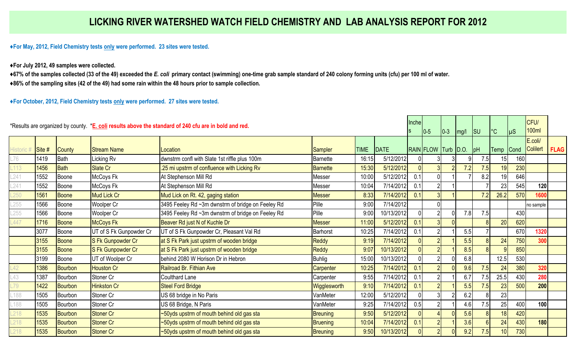**♦For May, 2012, Field Chemistry tests only were performed. 23 sites were tested.** 

**♦For July 2012, 49 samples were collected.** 

**♦67% of the samples collected (33 of the 49) exceeded the** *E. coli* **primary contact (swimming) one-time grab sample standard of 240 colony forming units (cfu) per 100 ml of water.**

**♦86% of the sampling sites (42 of the 49) had some rain within the 48 hours prior to sample collection.** 

**♦For October, 2012, Field Chemistry tests only were performed. 27 sites were tested.** 

| *Results are organized by county. *E. coli results above the standard of 240 cfu are in bold and red. |        |                |                         |                                                   |                 |             |              | Inche    | $10-5$              | $ 0-3 $ | mg/l | $\vert$ SU | $\mathrm{^{\circ}C}$ | µS   | CFU/<br><b>100ml</b> |             |
|-------------------------------------------------------------------------------------------------------|--------|----------------|-------------------------|---------------------------------------------------|-----------------|-------------|--------------|----------|---------------------|---------|------|------------|----------------------|------|----------------------|-------------|
| Historic #                                                                                            | Site # | <b>County</b>  | <b>Stream Name</b>      | Location                                          | <b>Sampler</b>  | <b>TIME</b> | <b>IDATE</b> |          | RAIN FLOW Turb D.O. |         |      | pH         | Temp                 | Cond | E.coli/<br>Colilert  | <b>FLAG</b> |
| L76                                                                                                   | 1419   | <b>Bath</b>    | <b>Licking Rv</b>       | dwnstrm confl with Slate 1st riffle plus 100m     | <b>Barnette</b> | 16:15       | 5/12/2012    |          |                     |         |      | 7.5        | 15                   | 160  |                      |             |
| $-113$                                                                                                | 1456   | <b>Bath</b>    | Slate Cr                | .25 mi upstrm of confluence with Licking Rv       | <b>Barnette</b> | 15:30       | 5/12/2012    | $\Omega$ |                     |         | 7.2  | 7.5        | 19                   | 230  |                      |             |
| $-241$                                                                                                | 1552   | Boone          | McCoys Fk               | At Stephenson Mill Rd                             | Messer          | 10:00       | 5/12/2012    | 0.1      | 0                   |         |      | 8.2        | 19                   | 646  |                      |             |
| .241                                                                                                  | 1552   | Boone          | McCoys Fk               | At Stephenson Mill Rd                             | Messer          | 10:04       | 7/14/2012    | 0.1      | $\overline{2}$      |         |      |            | 23                   | 545  | 120                  |             |
| .250                                                                                                  | 1561   | <b>Boone</b>   | <b>Mud Lick Cr</b>      | Mud Lick on Rt. 42, gaging station                | <b>Messer</b>   | 8:33        | 7/14/2012    | 0.1      | 3                   |         |      | 7.2        | 26.2                 | 570  | 1600                 |             |
| .255                                                                                                  | 1566   | Boone          | Woolper Cr              | 3495 Feeley Rd ~3m dwnstrm of bridge on Feeley Rd | Pille           | 9:00        | 7/14/2012    |          |                     |         |      |            |                      |      | no sample            |             |
| .255                                                                                                  | 1566   | Boone          | Woolper Cr              | 3495 Feeley Rd ~3m dwnstrm of bridge on Feeley Rd | Pille           | 9:00        | 10/13/2012   |          | $\overline{2}$      |         | 7.8  | 7.5        |                      | 430  |                      |             |
| $-447$                                                                                                | 1716   | <b>Boone</b>   | <b>McCoys Fk</b>        | Beaver Rd just N of Kuchle Dr                     | <b>Messer</b>   | 11:00       | 5/12/2012    | 0.1      | 3 <sup>l</sup>      |         |      |            | 20                   | 620  |                      |             |
|                                                                                                       | 3077   | Boone          | UT of S Fk Gunpowder Cr | UT of S Fk Gunpowder Cr, Pleasant Val Rd          | <b>Barhorst</b> | 10:25       | 7/14/2012    | 0.1      | $\overline{2}$      |         | 5.5  |            |                      | 670  | 1320                 |             |
|                                                                                                       | 3155   | <b>Boone</b>   | S Fk Gunpowder Cr       | at S Fk Park just upstrm of wooden bridge         | <b>Reddy</b>    | 9:19        | 7/14/2012    |          | $\overline{2}$      |         | 5.5  |            | 24                   | 750  | 300                  |             |
|                                                                                                       | 3155   | <b>Boone</b>   | S Fk Gunpowder Cr       | at S Fk Park just upstrm of wooden bridge         | <b>Reddy</b>    | 9:07        | 10/13/2012   |          |                     |         | 8.5  |            |                      | 850  |                      |             |
|                                                                                                       | 3199   | Boone          | UT of Woolper Cr        | behind 2080 W Horison Dr in Hebron                | <b>Buhlig</b>   | 15:00       | 10/13/2012   |          | $\overline{2}$      |         | 6.8  |            | 12.5                 | 530  |                      |             |
| .42                                                                                                   | 1386   | <b>Bourbon</b> | <b>Houston Cr</b>       | Railroad Br. Fithian Ave                          | Carpenter       | 10:25       | 7/14/2012    | 0.1      |                     |         | 9.6  | 7.5        | 24                   | 380  | 320                  |             |
| .43                                                                                                   | 1387   | Bourbon        | Stoner Cr               | <b>Coulthard Lane</b>                             | Carpenter       | 9:55        | 7/14/2012    | 0.1      |                     |         | 6.7  | 7.5        | 25.5                 | 430  | 280                  |             |
| .79                                                                                                   | 1422   | <b>Bourbon</b> | <b>Hinkston Cr</b>      | <b>Steel Ford Bridge</b>                          | Wigglesworth    | 9:10        | 7/14/2012    | 0.1      |                     |         | 5.5  | 7.5        | 23                   | 500  | 200                  |             |
| .188                                                                                                  | 1505   | Bourbon        | Stoner Cr               | US 68 bridge in No Paris                          | VanMeter        | 12:00       | 5/12/2012    |          | $\overline{3}$      |         | 6.2  | 8          | 23                   |      |                      |             |
| .188                                                                                                  | 1505   | Bourbon        | Stoner Cr               | US 68 Bridge, N Paris                             | VanMeter        | 9:25        | 7/14/2012    | 0.5      | $\overline{2}$      |         | 4.6  | 7.5        | 25                   | 400  | 100                  |             |
| 218                                                                                                   | 1535   | <b>Bourbon</b> | Stoner Cr               | ~50yds upstrm of mouth behind old gas sta         | <b>Breuning</b> | 9:50        | 5/12/2012    |          |                     |         | 5.6  |            | 18                   | 420  |                      |             |
| .218                                                                                                  | 1535   | <b>Bourbon</b> | Stoner Cr               | ~50yds upstrm of mouth behind old gas sta         | Bruening        | 10:04       | 7/14/2012    | 0.1      | $\overline{2}$      |         | 3.6  |            | 24                   | 430  | 180                  |             |
| .218                                                                                                  | 1535   | <b>Bourbon</b> | Stoner Cr               | ~50yds upstrm of mouth behind old gas sta         | <b>Breuning</b> | 9:50        | 10/13/2012   |          | $\overline{2}$      |         | 9.2  | 7.5        | 10 <sup>1</sup>      | 730  |                      |             |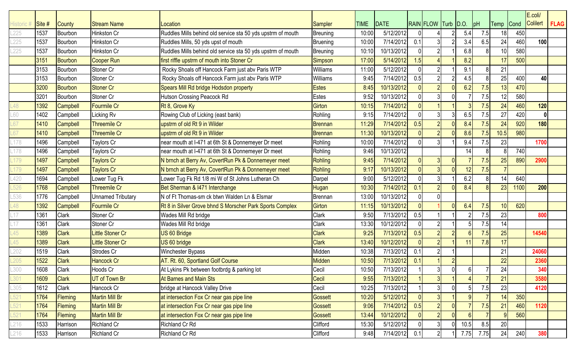|          |                   |                 |                          |                                                             |                 |             |             |     |                       |   |          |      |                 |      | E.coli/  |             |
|----------|-------------------|-----------------|--------------------------|-------------------------------------------------------------|-----------------|-------------|-------------|-----|-----------------------|---|----------|------|-----------------|------|----------|-------------|
| listorio | $\mathsf{Site}$ # | <b>County</b>   | <b>Stream Name</b>       | _ocation                                                    | <b>Sampler</b>  | <b>TIME</b> | <b>DATE</b> |     | RAIN FLOW Turb   D.O. |   |          | pH   | <b>Temp</b>     | Cond | Colilert | <b>FLAG</b> |
| .225     | 1537              | Bourbon         | Hinkston Cr              | Ruddles Mills behind old service sta 50 yds upstrm of mouth | <b>Breuning</b> | 10:00       | 5/12/2012   |     |                       |   | 5.4      | 7.5  | 18 <sup>1</sup> | 450  |          |             |
| 225      | 1537              | Bourbon         | Hinkston Cr              | Ruddles Mills, 50 yds upst of mouth                         | <b>Bruening</b> | 10:00       | 7/14/2012   | 0.1 |                       |   | 3.4      | 6.5  | 24              | 460  | 100      |             |
| .225     | 1537              | Bourbon         | Hinkston Cr              | Ruddles Mills behind old service sta 50 yds upstrm of mouth | Breuning        | 10:10       | 10/13/2012  |     |                       |   | 6.8      |      | 10 <sup>1</sup> | 580  |          |             |
|          | 3151              | <b>Bourbon</b>  | <b>Cooper Run</b>        | first riffle upstrm of mouth into Stoner Cr                 | Simpson         | 17:00       | 5/14/2012   | 1.5 |                       |   | 8.2      |      | 17              | 500  |          |             |
|          | 3153              | Bourbon         | Stoner Cr                | Rocky Shoals off Hancock Farm just abv Paris WTP            | <b>Williams</b> | 11:00       | 5/12/2012   |     |                       |   | 9.1      |      | 21              |      |          |             |
|          | 3153              | Bourbon         | Stoner Cr                | Rocky Shoals off Hancock Farm just abv Paris WTP            | Williams        | 9:45        | 7/14/2012   | 0.5 |                       |   | 4.5      |      | 25              | 400  | 40       |             |
|          | 3200              | <b>Bourbon</b>  | <b>Stoner Cr</b>         | Spears Mill Rd bridge Hodsdon property                      | <b>Estes</b>    | 8:45        | 10/13/2012  |     |                       |   | 6.2      | 7.5  | 13              | 470  |          |             |
|          | 3201              | Bourbon         | Stoner Cr                | Hutson Crossing Peacock Rd                                  | <b>Estes</b>    | 9:52        | 10/13/2012  |     |                       |   |          | 7.5  | 12              | 580  |          |             |
| 48       | 1392              | Campbell        | <b>Fourmile Cr</b>       | Rt 8, Grove Ky                                              | <b>Girton</b>   | 10:15       | 7/14/2012   |     |                       |   |          | 7.5  | 24              | 460  | 120      |             |
| .60      | 1402              | Campbell        | Licking Rv               | Rowing Club of Licking (east bank)                          | Rohling         | 9:15        | 7/14/2012   |     |                       | 3 | 6.5      | 7.5  | 27              | 420  |          |             |
| .67      | 1410              | <b>Campbell</b> | <b>Threemile Cr</b>      | upstrm of old Rt 9 in Wilder                                | <b>Brennan</b>  | 11:29       | 7/14/2012   | 0.5 |                       |   | 8.4      | 7.5  | 24              | 920  | 180      |             |
| .67      | 1410              | Campbell        | <b>Threemile Cr</b>      | upstrm of old Rt 9 in Wilder                                | <b>Brennan</b>  | 11:30       | 10/13/2012  |     |                       |   | 8.6      | 7.5  | 10.5            | 980  |          |             |
| .178     | 1496              | Campbell        | <b>Taylors Cr</b>        | near mouth at I-471 at 6th St & Donnemeyer Dr meet          | Rohling         | 10:00       | 7/14/2012   |     |                       |   | 9.4      | 7.5  | 23              |      | 1700     |             |
| .178     | 1496              | Campbell        | <b>Taylors Cr</b>        | near mouth at I-471 at 6th St & Donnemeyer Dr meet          | Rohling         | 9:46        | 10/13/2012  |     |                       |   | 14       |      |                 | 740  |          |             |
| .179     | 1497              | <b>Campbell</b> | <b>Taylors Cr</b>        | N brnch at Berry Av, CovertRun Pk & Donnemeyer meet         | Rohling         | 9:45        | 7/14/2012   |     |                       |   |          | 7.5  | 25              | 890  | 2900     |             |
| 179      | 1497              | Campbell        | <b>Taylors Cr</b>        | N brnch at Berry Av, CovertRun Pk & Donnemeyer meet         | <b>Rohling</b>  | 9:17        | 10/13/2012  |     |                       |   | 12       | 7.5  |                 |      |          |             |
| 420      | 1694              | Campbell        | Lower Tug Fk             | Lower Tug Fk Rd 1/8 mi W of St Johns Lutheran Ch            | Darpel          | 9:00        | 5/12/2012   |     |                       |   | 6.2      |      | 14              | 640  |          |             |
| .526     | 1768              | <b>Campbell</b> | <b>Threemile Cr</b>      | Bet Sherman & 1471 Interchange                              | Hugan           | 10:30       | 7/14/2012   | 0.1 |                       |   | 8.4      |      | 23              | 1100 | 200      |             |
| 536      | 1776              | Campbell        | <b>Unnamed Tributary</b> | N of Ft Thomas-sm ck btwn Walden Ln & Elsmar                | <b>Brennan</b>  | 13:00       | 10/13/2012  |     |                       |   |          |      |                 |      |          |             |
| .48      | 1392              | <b>Campbell</b> | Fourmile Cr              | Rt 8 in Silver Grove bhnd S Morscher Park Sports Complex    | <b>Girton</b>   | 11:15       | 10/13/2012  |     |                       |   | 6.4      | 7.5  | 10              | 620  |          |             |
| .17      | 1361              | Clark           | Stoner Cr                | Wades Mill Rd bridge                                        | Clark           | 9:50        | 7/13/2012   | 0.5 |                       |   |          | 7.5  | 23              |      | 800      |             |
| .17      | 1361              | <b>Clark</b>    | Stoner Cr                | Wades Mill Rd bridge                                        | Clark           | 13:30       | 10/12/2012  |     |                       |   |          | 7.5  | 14              |      |          |             |
| 45       | 1389              | <b>Clark</b>    | Little Stoner Cr         | US 60 Bridge                                                | <b>Clark</b>    | 9:25        | 7/13/2012   | 0.5 |                       |   |          | 7.5  | 25              |      | 14540    |             |
| .45      | 1389              | <b>Clark</b>    | Little Stoner Cr         | US 60 bridge                                                | <b>Clark</b>    | 13:40       | 10/12/2012  |     |                       |   | 11       | 7.8  | 17              |      |          |             |
|          | 1519              | Clark           | Strodes Cr               | Winchester Bypass                                           | Midden          | 10:38       | 7/13/2012   | 0.1 |                       |   |          |      | 21              |      | 24060    |             |
|          | 1522              | <b>Clark</b>    | <b>Hancock Cr</b>        | AT. Rt. 60, Sportland Golf Course                           | Midden          | 10:50       | 7/13/2012   | 0.1 |                       |   |          |      | 22              |      | 2360     |             |
| .300     | 1608              | <b>Clark</b>    | Hoods Cr                 | At Lykins Pk between footbrdg & parking lot                 | Cecil           | 10:50       | 7/13/2012   |     | 31                    | 0 | $6 \mid$ |      | 24              |      | 340      |             |
| .301     | 1609              | <b>Clark</b>    | UT of Town Br            | At Barnes and Main Sts                                      | Cecil           | 9:55        | 7/13/2012   |     |                       |   |          |      | 21              |      | 3580     |             |
| .305     | 1612              | <b>Clark</b>    | Hancock Cr               | bridge at Hancock Valley Drive                              | Cecil           | 10:25       | 7/13/2012   |     |                       |   |          | 7.5  | 23              |      | 4120     |             |
| .521     | 1764              | <b>Fleming</b>  | <b>Martin Mill Br</b>    | at intersection Fox Cr near gas pipe line                   | <b>Gossett</b>  | 10:20       | 5/12/2012   |     |                       |   |          |      | 14              | 350  |          |             |
| .521     | 1764              | Fleming         | <b>Martin Mill Br</b>    | at intersection Fox Cr near gas pipe line                   | <b>Gossett</b>  | 9:06        | 7/14/2012   | 0.5 |                       |   |          | 7.5  | 21              | 460  | 1120     |             |
| .521     | 1764              | Fleming         | <b>Martin Mill Br</b>    | at intersection Fox Cr near gas pipe line                   | Gossett         | 13:44       | 10/12/2012  |     |                       |   | $6 \mid$ |      |                 | 560  |          |             |
| 216      | 1533              | Harrison        | <b>Richland Cr</b>       | Richland Cr Rd                                              | Clifford        | 15:30       | 5/12/2012   |     |                       |   | 10.5     | 8.5  | 20              |      |          |             |
| 216      | 1533              | Harrison        | <b>Richland Cr</b>       | Richland Cr Rd                                              | Clifford        | 9:48        | 7/14/2012   | 0.1 | $\overline{2}$        |   | 7.75     | 7.75 | 24              | 240  | 380      |             |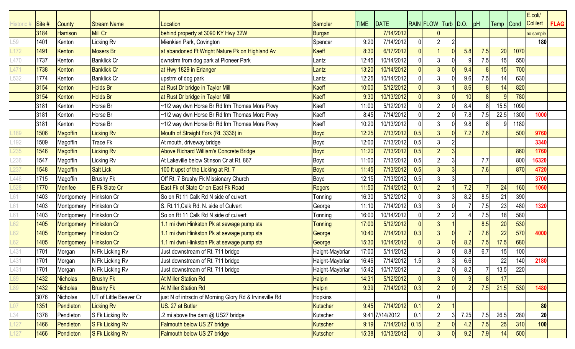|          |                   |                   |                        |                                                         |                 |             |                 |      |                     |                |      |     |           |      | E.coli/         |             |
|----------|-------------------|-------------------|------------------------|---------------------------------------------------------|-----------------|-------------|-----------------|------|---------------------|----------------|------|-----|-----------|------|-----------------|-------------|
| listoric | $\mathsf{Site}$ # | <b>County</b>     | <b>Stream Name</b>     | Location                                                | Sampler         | <b>TIME</b> | DATE            |      | RAIN FLOW Turb D.O. |                |      | pH  | Temp Cond |      | <b>Colilert</b> | <b>FLAG</b> |
|          | 3184              | <b>Harrison</b>   | <b>Mill Cr</b>         | behind property at 3090 KY Hwy 32W                      | Burgan          |             | 7/14/2012       |      |                     |                |      |     |           |      | no sample       |             |
| .59      | 1401              | Kenton            | Licking Rv             | Mienkien Park, Covington                                | Spencer         | 9:20        | 7/14/2012       |      |                     |                |      |     |           |      | 180             |             |
|          | 1491              | Kenton            | <b>Mosers Br</b>       | at abandoned Ft Wright Nature Pk on Highland Av         | Kaeff           | 8:30        | 6/17/2012       |      |                     |                | 5.8  | 7.5 | 20        | 1070 |                 |             |
| .470     | 1737              | Kenton            | <b>Banklick Cr</b>     | dwnstrm from dog park at Pioneer Park                   | Lantz           | 12:45       | 10/14/2012      |      |                     |                |      | 7.5 | 15        | 550  |                 |             |
| 471      | 1738              | Kenton            | <b>Banklick Cr</b>     | at Hwy 1829 in Erlanger                                 | Lantz           | 13:20       | 10/14/2012      |      |                     | n              | 9.4  |     | 15        | 700  |                 |             |
| 532      | 1774              | Kenton            | <b>Banklick Cr</b>     | upstrm of dog park                                      | Lantz           | 12:25       | 10/14/2012      |      |                     |                | 9.6  | 7.5 | 14        | 630  |                 |             |
|          | 3154              | Kenton            | <b>Holds Br</b>        | at Rust Dr bridge in Taylor Mill                        | <b>Kaeff</b>    | 10:00       | 5/12/2012       |      |                     |                | 8.6  |     | 14        | 820  |                 |             |
|          | 3154              | Kenton            | <b>Holds Br</b>        | at Rust Dr bridge in Taylor Mill                        | Kaeff           | 9:30        | 10/13/2012      |      |                     | $\Omega$       | 10   |     |           | 780  |                 |             |
|          | 3181              | Kenton            | Horse Br               | ~1/2 way dwn Horse Br Rd frm Thomas More Pkwy           | Kaeff           | 11:00       | 5/12/2012       |      |                     |                | 8.4  |     | 15.5      | 1090 |                 |             |
|          | 3181              | Kenton            | Horse Br               | ~1/2 way dwn Horse Br Rd frm Thomas More Pkwy           | Kaeff           | 8:45        | 7/14/2012       |      |                     |                | 7.8  | 7.5 | 22.5      | 1300 | 1000            |             |
|          | 3181              | Kenton            | Horse Br               | ~1/2 way dwn Horse Br Rd frm Thomas More Pkwy           | Kaeff           | 10:20       | 10/13/2012      |      |                     |                | 9.8  |     |           | 1180 |                 |             |
| 189      | 1506              | <b>Magoffin</b>   | Licking Rv             | Mouth of Straight Fork (Rt. 3336) in                    | <b>Boyd</b>     | 12:25       | 7/13/2012       | 0.5  |                     |                | 7.2  | 7.6 |           | 500  | 9760            |             |
| $-192$   | 1509              | Magoffin          | <b>Trace Fk</b>        | At mouth, driveway bridge                               | Boyd            | 12:00       | 7/13/2012       | 0.5  |                     |                |      |     |           |      | 3340            |             |
|          | 1546              | <b>Magoffin</b>   | Licking Rv             | Above Richard William's Concrete Bridge                 | <b>Boyd</b>     | 11:20       | 7/13/2012       | 0.5  |                     |                |      |     |           | 860  | 1760            |             |
| .236     | 1547              | Magoffin          | Licking Rv             | At Lakeville below Stinson Cr at Rt. 867                | Boyd            | 11:00       | 7/13/2012       | 0.5  |                     |                |      | 7.7 |           | 800  | 16320           |             |
| 237      | 1548              | <b>Magoffin</b>   | <b>Salt Lick</b>       | 100 ft upst of the Licking at Rt. 7                     | <b>Boyd</b>     | 11:45       | 7/13/2012       | 0.5  |                     |                |      | 7.6 |           | 870  | 4720            |             |
| .446     | 1715              | Magoffin          | <b>Brushy Fk</b>       | Off Rt. 7 Brushy Fk Missionary Church                   | Boyd            | 12:15       | 7/13/2012       | 0.5  |                     |                |      |     |           |      | 3700            |             |
| .528     | 1770              | <b>Menifee</b>    | E Fk Slate Cr          | East Fk of Slate Cr on East Fk Road                     | <b>Rogers</b>   | 11:50       | 7/14/2012       | 0.1  |                     |                | 7.2  |     | 24        | 160  | 1060            |             |
| .61      | 1403              | Montgomery        | Hinkston Cr            | So on Rt 11 Calk Rd N side of culvert                   | Tonning         | 16:30       | 5/12/2012       |      |                     |                | 8.2  | 8.5 | 21        | 390  |                 |             |
| .61      | 1403              | Montgomery        | Hinkston Cr            | S. Rt.11, Calk Rd. N. side of Culvert                   | George          | 11:10       | 7/14/2012       | 0.3  |                     | 0              |      | 7.5 | 23        | 480  | 1320            |             |
| -61      | 1403              | Montgomery        | Hinkston Cr            | So on Rt 11 Calk Rd N side of culvert                   | Tonning         | 16:00       | 10/14/2012      |      |                     |                |      | 7.5 | 18        | 580  |                 |             |
| 62       | 1405              | <b>Montgomery</b> | <b>Hinkston Cr</b>     | .1 mi dwn Hinkston Pk at sewage pump sta                | <b>Tonning</b>  | 17:00       | 5/12/2012       |      |                     |                |      | 8.5 | 20        | 530  |                 |             |
| 62       | 1405              | Montgomery        | <b>Hinkston Cr</b>     | .1 mi dwn Hinkston Pk at sewage pump sta                | George          | 10:40       | 7/14/2012       | 0.3  |                     | $\overline{0}$ |      | 7.6 | 22        | 570  | 4000            |             |
| 62       | 1405              | <b>Montgomery</b> | <b>Hinkston Cr</b>     | 1.1 mi dwn Hinkston Pk at sewage pump sta               | George          | 15:30       | 10/14/2012      |      |                     | $\Omega$       | 8.2  | 7.5 | 17.5      | 680  |                 |             |
| .431     | 1701              | Morgan            | N Fk Licking Rv        | Just downstream of Rt. 711 bridge                       | Haight-Maybriar | 17:00       | 5/11/2012       |      |                     |                | 8.8  | 6.7 | 15        | 100  |                 |             |
| .431     | 1701              | Morgan            | N Fk Licking Rv        | Just downstream of Rt. 711 bridge                       | Haight-Maybriar | 16:46       | 7/14/2012       | 1.5  |                     |                | 6.6  |     | 22        | 140  | 2180            |             |
| $-431$   | 1701              | Morgan            | N Fk Licking Rv        | Just downstream of Rt. 711 bridge                       | Haight-Maybriar | 15:42       | 10/17/2012      |      | $2\vert$            | 01             | 8.2  |     | 13.5      | 220  |                 |             |
| .89      | 1432              | Nicholas          | <b>Brushy Fk</b>       | <b>At Miller Station Rd</b>                             | <b>Halpin</b>   | 14:31       | 5/12/2012       |      |                     |                |      |     | 17        |      |                 |             |
| .89      | 1432              | <b>Nicholas</b>   | <b>Brushy Fk</b>       | <b>At Miller Station Rd</b>                             | <b>Halpin</b>   | 9:39        | 7/14/2012       | 0.3  |                     | 0              |      | 7.5 | 21.5      | 530  | 1480            |             |
|          | 3076              | Nicholas          | UT of Little Beaver Cr | just N of intrsctn of Morning Glory Rd & Irvinsville Rd | <b>Hopkins</b>  |             |                 |      |                     |                |      |     |           |      |                 |             |
|          | 1351              | Pendleton         | <b>Licking Rv</b>      | US. 27 at Butler                                        | Kutscher        | 9:45        | 7/14/2012       | 0.1  |                     |                |      |     |           |      | 80              |             |
| .34      | 1378              | Pendleton         | S Fk Licking Rv        | .2 mi above the dam @ US27 bridge                       | Kutscher        |             | 9:41 7//14/2012 | 0.1  |                     |                | 7.25 | 7.5 | 26.5      | 280  | 20              |             |
| .127     | 1466              | Pendleton         | S Fk Licking Rv        | Falmouth below US 27 bridge                             | <b>Kutscher</b> | 9:19        | 7/14/2012       | 0.15 |                     |                | 4.2  | 7.5 | 25        | 310  | 100             |             |
|          | 1466              | Pendleton         | S Fk Licking Rv        | Falmouth below US 27 bridge                             | Kutscher        | 15:38       | 10/13/2012      |      | 3 <sup>l</sup>      | 0              | 9.2  | 7.9 | 14        | 500  |                 |             |